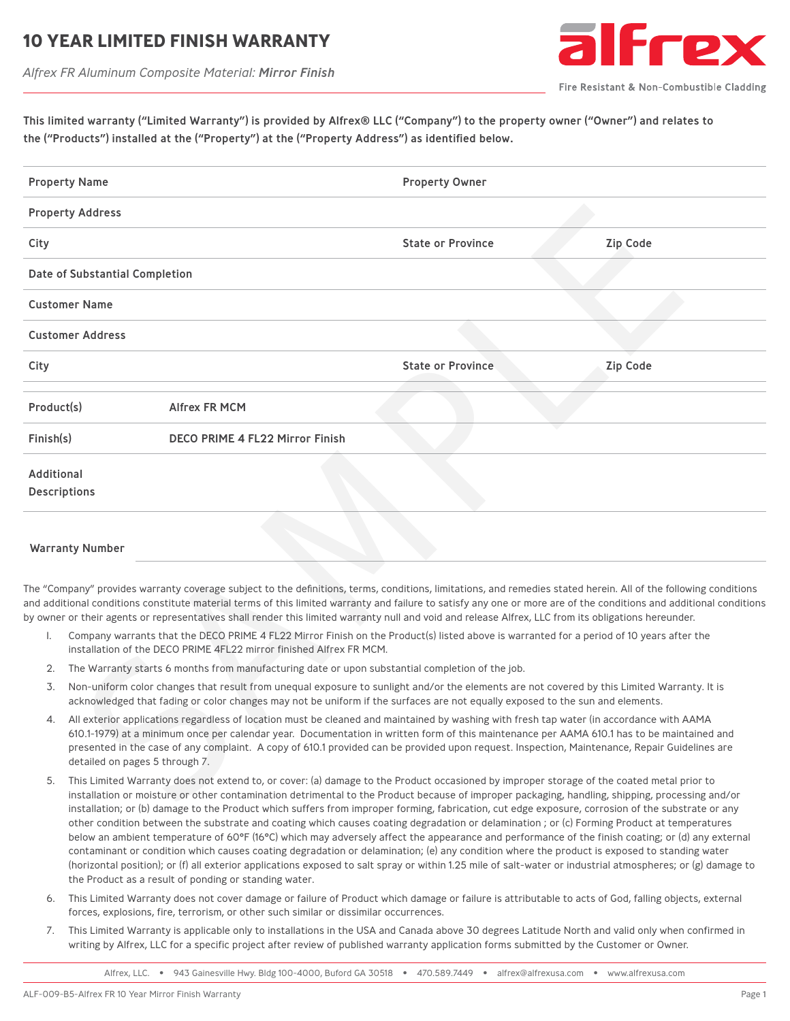## **10 YEAR LIMITED FINISH WARRANT**

*Alfrex FR Aluminum Composite Material: Mirror Finish*



Fire Resistant & Non-Combustible Cladding

This limited warranty ("Limited Warranty") is provided by Alfrex® LLC ("Company") to the property owner ("Owner") and relates to the ("Products") installed at the ("Property") at the ("Property Address") as identified below.

| <b>Property Name</b> |                                                                                                                                                                                                                                                                                                                                                                                                                                                                           |                                        | <b>Property Owner</b>                                                                                                                                                                                                                                                                                                                                                                                                                                                                           |                 |  |  |
|----------------------|---------------------------------------------------------------------------------------------------------------------------------------------------------------------------------------------------------------------------------------------------------------------------------------------------------------------------------------------------------------------------------------------------------------------------------------------------------------------------|----------------------------------------|-------------------------------------------------------------------------------------------------------------------------------------------------------------------------------------------------------------------------------------------------------------------------------------------------------------------------------------------------------------------------------------------------------------------------------------------------------------------------------------------------|-----------------|--|--|
|                      | <b>Property Address</b>                                                                                                                                                                                                                                                                                                                                                                                                                                                   |                                        |                                                                                                                                                                                                                                                                                                                                                                                                                                                                                                 |                 |  |  |
| City                 |                                                                                                                                                                                                                                                                                                                                                                                                                                                                           |                                        | <b>State or Province</b>                                                                                                                                                                                                                                                                                                                                                                                                                                                                        | <b>Zip Code</b> |  |  |
|                      | Date of Substantial Completion                                                                                                                                                                                                                                                                                                                                                                                                                                            |                                        |                                                                                                                                                                                                                                                                                                                                                                                                                                                                                                 |                 |  |  |
|                      | <b>Customer Name</b>                                                                                                                                                                                                                                                                                                                                                                                                                                                      |                                        |                                                                                                                                                                                                                                                                                                                                                                                                                                                                                                 |                 |  |  |
|                      | <b>Customer Address</b>                                                                                                                                                                                                                                                                                                                                                                                                                                                   |                                        |                                                                                                                                                                                                                                                                                                                                                                                                                                                                                                 |                 |  |  |
| City                 |                                                                                                                                                                                                                                                                                                                                                                                                                                                                           |                                        | <b>State or Province</b>                                                                                                                                                                                                                                                                                                                                                                                                                                                                        | <b>Zip Code</b> |  |  |
| Product(s)           |                                                                                                                                                                                                                                                                                                                                                                                                                                                                           | <b>Alfrex FR MCM</b>                   |                                                                                                                                                                                                                                                                                                                                                                                                                                                                                                 |                 |  |  |
| Finish(s)            |                                                                                                                                                                                                                                                                                                                                                                                                                                                                           | <b>DECO PRIME 4 FL22 Mirror Finish</b> |                                                                                                                                                                                                                                                                                                                                                                                                                                                                                                 |                 |  |  |
| <b>Additional</b>    | <b>Descriptions</b>                                                                                                                                                                                                                                                                                                                                                                                                                                                       |                                        |                                                                                                                                                                                                                                                                                                                                                                                                                                                                                                 |                 |  |  |
|                      | <b>Warranty Number</b>                                                                                                                                                                                                                                                                                                                                                                                                                                                    |                                        |                                                                                                                                                                                                                                                                                                                                                                                                                                                                                                 |                 |  |  |
| I.                   |                                                                                                                                                                                                                                                                                                                                                                                                                                                                           |                                        | The "Company" provides warranty coverage subject to the definitions, terms, conditions, limitations, and remedies stated herein. All of the following conditions<br>and additional conditions constitute material terms of this limited warranty and failure to satisfy any one or more are of the conditions and additional conditions<br>by owner or their agents or representatives shall render this limited warranty null and void and release Alfrex, LLC from its obligations hereunder. |                 |  |  |
|                      | Company warrants that the DECO PRIME 4 FL22 Mirror Finish on the Product(s) listed above is warranted for a period of 10 years after the<br>installation of the DECO PRIME 4FL22 mirror finished Alfrex FR MCM.                                                                                                                                                                                                                                                           |                                        |                                                                                                                                                                                                                                                                                                                                                                                                                                                                                                 |                 |  |  |
| 2.                   | The Warranty starts 6 months from manufacturing date or upon substantial completion of the job.                                                                                                                                                                                                                                                                                                                                                                           |                                        |                                                                                                                                                                                                                                                                                                                                                                                                                                                                                                 |                 |  |  |
| 3.                   | Non-uniform color changes that result from unequal exposure to sunlight and/or the elements are not covered by this Limited Warranty. It is<br>acknowledged that fading or color changes may not be uniform if the surfaces are not equally exposed to the sun and elements.                                                                                                                                                                                              |                                        |                                                                                                                                                                                                                                                                                                                                                                                                                                                                                                 |                 |  |  |
| 4.                   | All exterior applications regardless of location must be cleaned and maintained by washing with fresh tap water (in accordance with AAMA<br>610.1-1979) at a minimum once per calendar year. Documentation in written form of this maintenance per AAMA 610.1 has to be maintained and<br>presented in the case of any complaint. A copy of 610.1 provided can be provided upon request. Inspection, Maintenance, Repair Guidelines are<br>detailed on pages 5 through 7. |                                        |                                                                                                                                                                                                                                                                                                                                                                                                                                                                                                 |                 |  |  |
| 5.                   |                                                                                                                                                                                                                                                                                                                                                                                                                                                                           |                                        | This Limited Warranty does not extend to, or cover: (a) damage to the Product occasioned by improper storage of the coated metal prior to<br>installation or moisture or other contamination detrimental to the Product because of improper packaging, handling, shipping, processing and/or<br>installation: or (b) damage to the Product which suffers from impreper forming fabrication, sut adge expecure, correction of the substrate or any                                               |                 |  |  |

#### Warranty Number

- 1. Company warrants that the DECO PRIME 4 FL22 Mirror Finish on the Product(s) listed above is warranted for a period of 10 years after the installation of the DECO PRIME 4FL22 mirror finished Alfrex FR MCM.
- 2. The Warranty starts 6 months from manufacturing date or upon substantial completion of the job.
- 3. Non-uniform color changes that result from unequal exposure to sunlight and/or the elements are not covered by this Limited Warranty. It is acknowledged that fading or color changes may not be uniform if the surfaces are not equally exposed to the sun and elements.
- 4. All exterior applications regardless of location must be cleaned and maintained by washing with fresh tap water (in accordance with AAMA 610.1-1979) at a minimum once per calendar year. Documentation in written form of this maintenance per AAMA 610.1 has to be maintained and presented in the case of any complaint. A copy of 610.1 provided can be provided upon request. Inspection, Maintenance, Repair Guidelines are detailed on pages 5 through 7.
- 5. This Limited Warranty does not extend to, or cover: (a) damage to the Product occasioned by improper storage of the coated metal prior to installation or moisture or other contamination detrimental to the Product because of improper packaging, handling, shipping, processing and/or installation; or (b) damage to the Product which suffers from improper forming, fabrication, cut edge exposure, corrosion of the substrate or any other condition between the substrate and coating which causes coating degradation or delamination ; or (c) Forming Product at temperatures below an ambient temperature of 60°F (16°C) which may adversely affect the appearance and performance of the finish coating; or (d) any external contaminant or condition which causes coating degradation or delamination; (e) any condition where the product is exposed to standing water (horizontal position); or (f) all exterior applications exposed to salt spray or within 1.25 mile of salt-water or industrial atmospheres; or (g) damage to the Product as a result of ponding or standing water.
- 6. This Limited Warranty does not cover damage or failure of Product which damage or failure is attributable to acts of God, falling objects, external forces, explosions, fire, terrorism, or other such similar or dissimilar occurrences.
- 7. This Limited Warranty is applicable only to installations in the USA and Canada above 30 degrees Latitude North and valid only when confirmed in writing by Alfrex, LLC for a specific project after review of published warranty application forms submitted by the Customer or Owner.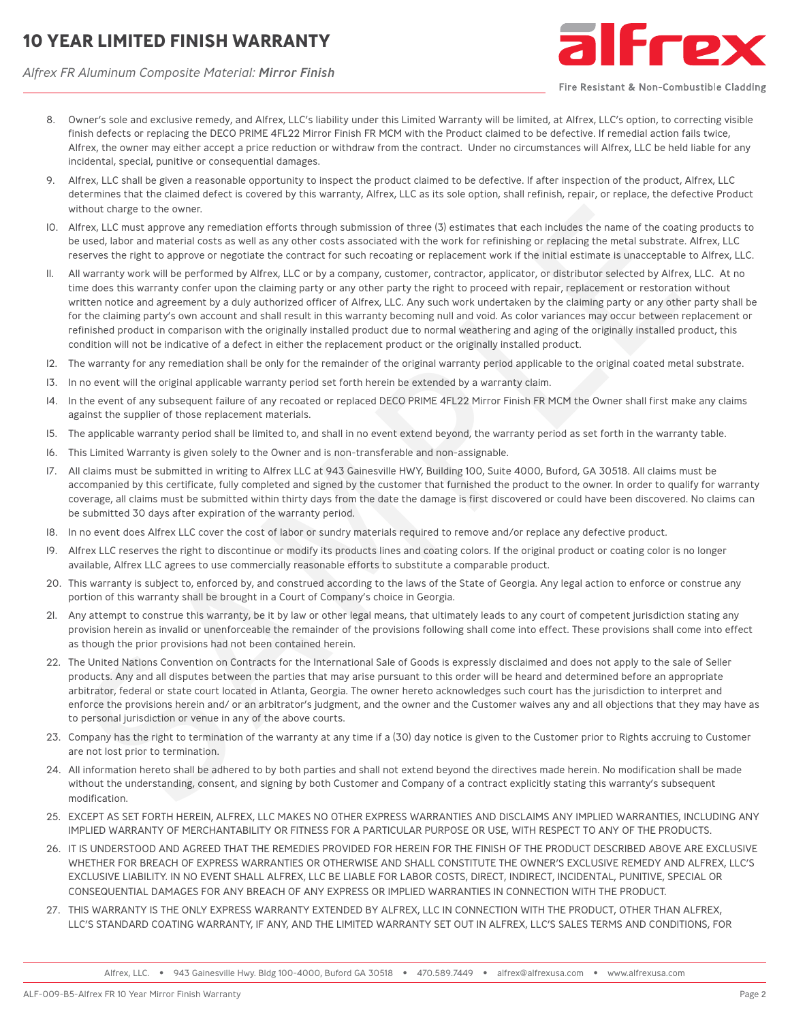# **10 YEAR LIMITED FINISH WARRANTY**

*Alfrex FR Aluminum Composite Material: Mirror Finish*



Fire Resistant & Non-Combustible Cladding

- 8. Owner's sole and exclusive remedy, and Alfrex, LLC's liability under this Limited Warranty will be limited, at Alfrex, LLC's option, to correcting visible finish defects or replacing the DECO PRIME 4FL22 Mirror Finish FR MCM with the Product claimed to be defective. If remedial action fails twice, Alfrex, the owner may either accept a price reduction or withdraw from the contract. Under no circumstances will Alfrex, LLC be held liable for any incidental, special, punitive or consequential damages.
- 9. Alfrex, LLC shall be given a reasonable opportunity to inspect the product claimed to be defective. If after inspection of the product, Alfrex, LLC determines that the claimed defect is covered by this warranty, Alfrex, LLC as its sole option, shall refinish, repair, or replace, the defective Product without charge to the owner.
- 10. Alfrex, LLC must approve any remediation efforts through submission of three (3) estimates that each includes the name of the coating products to be used, labor and material costs as well as any other costs associated with the work for refinishing or replacing the metal substrate. Alfrex, LLC reserves the right to approve or negotiate the contract for such recoating or replacement work if the initial estimate is unacceptable to Alfrex, LLC.
- 11. All warranty work will be performed by Alfrex, LLC or by a company, customer, contractor, applicator, or distributor selected by Alfrex, LLC. At no time does this warranty confer upon the claiming party or any other party the right to proceed with repair, replacement or restoration without written notice and agreement by a duly authorized officer of Alfrex, LLC. Any such work undertaken by the claiming party or any other party shall be for the claiming party's own account and shall result in this warranty becoming null and void. As color variances may occur between replacement or refinished product in comparison with the originally installed product due to normal weathering and aging of the originally installed product, this condition will not be indicative of a defect in either the replacement product or the originally installed product. ite mine that the calmed select is covered by this warranty. After, LLC as las acie option, shill refinal), regain or replace, the defective<br>that the simulation and the simulation of the simulation of three Clisterions (i.
- 12. The warranty for any remediation shall be only for the remainder of the original warranty period applicable to the original coated metal substrate.
- 13. In no event will the original applicable warranty period set forth herein be extended by a warranty claim.
- 14. In the event of any subsequent failure of any recoated or replaced DECO PRIME 4FL22 Mirror Finish FR MCM the Owner shall first make any claims against the supplier of those replacement materials.
- 15. The applicable warranty period shall be limited to, and shall in no event extend beyond, the warranty period as set forth in the warranty table.
- 16. This Limited Warranty is given solely to the Owner and is non-transferable and non-assignable.
- 17. All claims must be submitted in writing to Alfrex LLC at 943 Gainesville HWY, Building 100, Suite 4000, Buford, GA 30518. All claims must be accompanied by this certificate, fully completed and signed by the customer that furnished the product to the owner. In order to qualify for warranty coverage, all claims must be submitted within thirty days from the date the damage is first discovered or could have been discovered. No claims can be submitted 30 days after expiration of the warranty period.
- 18. In no event does Alfrex LLC cover the cost of labor or sundry materials required to remove and/or replace any defective product.
- 19. Alfrex LLC reserves the right to discontinue or modify its products lines and coating colors. If the original product or coating color is no longer available, Alfrex LLC agrees to use commercially reasonable efforts to substitute a comparable product.
- 20. This warranty is subject to, enforced by, and construed according to the laws of the State of Georgia. Any legal action to enforce or construe any portion of this warranty shall be brought in a Court of Company's choice in Georgia.
- 21. Any attempt to construe this warranty, be it by law or other legal means, that ultimately leads to any court of competent jurisdiction stating any provision herein as invalid or unenforceable the remainder of the provisions following shall come into effect. These provisions shall come into effect as though the prior provisions had not been contained herein.
- 22. The United Nations Convention on Contracts for the International Sale of Goods is expressly disclaimed and does not apply to the sale of Seller products. Any and all disputes between the parties that may arise pursuant to this order will be heard and determined before an appropriate arbitrator, federal or state court located in Atlanta, Georgia. The owner hereto acknowledges such court has the jurisdiction to interpret and enforce the provisions herein and/ or an arbitrator's judgment, and the owner and the Customer waives any and all objections that they may have as to personal jurisdiction or venue in any of the above courts.
- 23. Company has the right to termination of the warranty at any time if a (30) day notice is given to the Customer prior to Rights accruing to Customer are not lost prior to termination.
- 24. All information hereto shall be adhered to by both parties and shall not extend beyond the directives made herein. No modification shall be made without the understanding, consent, and signing by both Customer and Company of a contract explicitly stating this warranty's subsequent modification.
- 25. EXCEPT AS SET FORTH HEREIN, ALFREX, LLC MAKES NO OTHER EXPRESS WARRANTIES AND DISCLAIMS ANY IMPLIED WARRANTIES, INCLUDING ANY IMPLIED WARRANTY OF MERCHANTABILITY OR FITNESS FOR A PARTICULAR PURPOSE OR USE, WITH RESPECT TO ANY OF THE PRODUCTS.
- 26. IT IS UNDERSTOOD AND AGREED THAT THE REMEDIES PROVIDED FOR HEREIN FOR THE FINISH OF THE PRODUCT DESCRIBED ABOVE ARE EXCLUSIVE WHETHER FOR BREACH OF EXPRESS WARRANTIES OR OTHERWISE AND SHALL CONSTITUTE THE OWNER'S EXCLUSIVE REMEDY AND ALFREX, LLC'S EXCLUSIVE LIABILITY. IN NO EVENT SHALL ALFREX, LLC BE LIABLE FOR LABOR COSTS, DIRECT, INDIRECT, INCIDENTAL, PUNITIVE, SPECIAL OR CONSEQUENTIAL DAMAGES FOR ANY BREACH OF ANY EXPRESS OR IMPLIED WARRANTIES IN CONNECTION WITH THE PRODUCT.
- 27. THIS WARRANTY IS THE ONLY EXPRESS WARRANTY EXTENDED BY ALFREX, LLC IN CONNECTION WITH THE PRODUCT, OTHER THAN ALFREX, LLC'S STANDARD COATING WARRANTY, IF ANY, AND THE LIMITED WARRANTY SET OUT IN ALFREX, LLC'S SALES TERMS AND CONDITIONS, FOR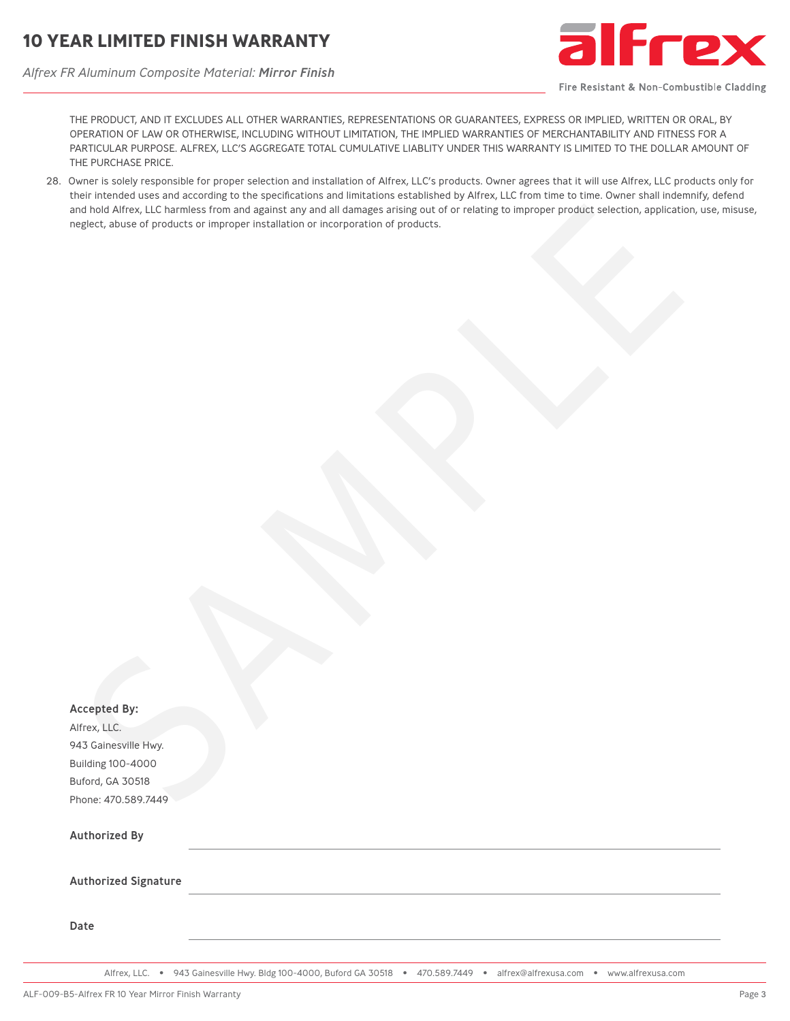*Alfrex FR Aluminum Composite Material: Mirror Finish*



Fire Resistant & Non-Combustible Cladding

THE PRODUCT, AND IT EXCLUDES ALL OTHER WARRANTIES, REPRESENTATIONS OR GUARANTEES, EXPRESS OR IMPLIED, WRITTEN OR ORAL, BY OPERATION OF LAW OR OTHERWISE, INCLUDING WITHOUT LIMITATION, THE IMPLIED WARRANTIES OF MERCHANTABILITY AND FITNESS FOR A PARTICULAR PURPOSE. ALFREX, LLC'S AGGREGATE TOTAL CUMULATIVE LIABLITY UNDER THIS WARRANTY IS LIMITED TO THE DOLLAR AMOUNT OF THE PURCHASE PRICE.

28. Owner is solely responsible for proper selection and installation of Alfrex, LLC's products. Owner agrees that it will use Alfrex, LLC products only for their intended uses and according to the specifications and limitations established by Alfrex, LLC from time to time. Owner shall indemnify, defend and hold Alfrex, LLC harmless from and against any and all damages arising out of or relating to improper product selection, application, use, misuse, neglect, abuse of products or improper installation or incorporation of products.

|                             | Owner is suicif responsible for proper selection and instandation or Amex, LLC's products. Owner agrees that it will use Amex, LLC products<br>their intended uses and according to the specifications and limitations established by Alfrex, LLC from time to time. Owner shall indemnify, o<br>and hold Alfrex, LLC harmless from and against any and all damages arising out of or relating to improper product selection, application, use<br>neglect, abuse of products or improper installation or incorporation of products. |
|-----------------------------|-------------------------------------------------------------------------------------------------------------------------------------------------------------------------------------------------------------------------------------------------------------------------------------------------------------------------------------------------------------------------------------------------------------------------------------------------------------------------------------------------------------------------------------|
|                             |                                                                                                                                                                                                                                                                                                                                                                                                                                                                                                                                     |
|                             |                                                                                                                                                                                                                                                                                                                                                                                                                                                                                                                                     |
|                             |                                                                                                                                                                                                                                                                                                                                                                                                                                                                                                                                     |
|                             |                                                                                                                                                                                                                                                                                                                                                                                                                                                                                                                                     |
|                             |                                                                                                                                                                                                                                                                                                                                                                                                                                                                                                                                     |
|                             |                                                                                                                                                                                                                                                                                                                                                                                                                                                                                                                                     |
|                             |                                                                                                                                                                                                                                                                                                                                                                                                                                                                                                                                     |
|                             |                                                                                                                                                                                                                                                                                                                                                                                                                                                                                                                                     |
|                             |                                                                                                                                                                                                                                                                                                                                                                                                                                                                                                                                     |
|                             |                                                                                                                                                                                                                                                                                                                                                                                                                                                                                                                                     |
|                             |                                                                                                                                                                                                                                                                                                                                                                                                                                                                                                                                     |
|                             |                                                                                                                                                                                                                                                                                                                                                                                                                                                                                                                                     |
|                             |                                                                                                                                                                                                                                                                                                                                                                                                                                                                                                                                     |
|                             |                                                                                                                                                                                                                                                                                                                                                                                                                                                                                                                                     |
|                             |                                                                                                                                                                                                                                                                                                                                                                                                                                                                                                                                     |
|                             |                                                                                                                                                                                                                                                                                                                                                                                                                                                                                                                                     |
|                             |                                                                                                                                                                                                                                                                                                                                                                                                                                                                                                                                     |
|                             |                                                                                                                                                                                                                                                                                                                                                                                                                                                                                                                                     |
|                             |                                                                                                                                                                                                                                                                                                                                                                                                                                                                                                                                     |
|                             |                                                                                                                                                                                                                                                                                                                                                                                                                                                                                                                                     |
|                             |                                                                                                                                                                                                                                                                                                                                                                                                                                                                                                                                     |
|                             |                                                                                                                                                                                                                                                                                                                                                                                                                                                                                                                                     |
|                             |                                                                                                                                                                                                                                                                                                                                                                                                                                                                                                                                     |
|                             |                                                                                                                                                                                                                                                                                                                                                                                                                                                                                                                                     |
|                             |                                                                                                                                                                                                                                                                                                                                                                                                                                                                                                                                     |
|                             |                                                                                                                                                                                                                                                                                                                                                                                                                                                                                                                                     |
| <b>Accepted By:</b>         |                                                                                                                                                                                                                                                                                                                                                                                                                                                                                                                                     |
| Alfrex, LLC.                |                                                                                                                                                                                                                                                                                                                                                                                                                                                                                                                                     |
| 943 Gainesville Hwy.        |                                                                                                                                                                                                                                                                                                                                                                                                                                                                                                                                     |
| <b>Building 100-4000</b>    |                                                                                                                                                                                                                                                                                                                                                                                                                                                                                                                                     |
| Buford, GA 30518            |                                                                                                                                                                                                                                                                                                                                                                                                                                                                                                                                     |
| Phone: 470.589.7449         |                                                                                                                                                                                                                                                                                                                                                                                                                                                                                                                                     |
|                             |                                                                                                                                                                                                                                                                                                                                                                                                                                                                                                                                     |
| <b>Authorized By</b>        |                                                                                                                                                                                                                                                                                                                                                                                                                                                                                                                                     |
|                             |                                                                                                                                                                                                                                                                                                                                                                                                                                                                                                                                     |
|                             |                                                                                                                                                                                                                                                                                                                                                                                                                                                                                                                                     |
| <b>Authorized Signature</b> |                                                                                                                                                                                                                                                                                                                                                                                                                                                                                                                                     |
|                             |                                                                                                                                                                                                                                                                                                                                                                                                                                                                                                                                     |
| Date                        |                                                                                                                                                                                                                                                                                                                                                                                                                                                                                                                                     |
|                             |                                                                                                                                                                                                                                                                                                                                                                                                                                                                                                                                     |
|                             |                                                                                                                                                                                                                                                                                                                                                                                                                                                                                                                                     |

Alfrex, LLC. • 943 Gainesville Hwy. Bldg 100-4000, Buford GA 30518 • 470.589.7449 • alfrex@alfrexusa.com • www.alfrexusa.com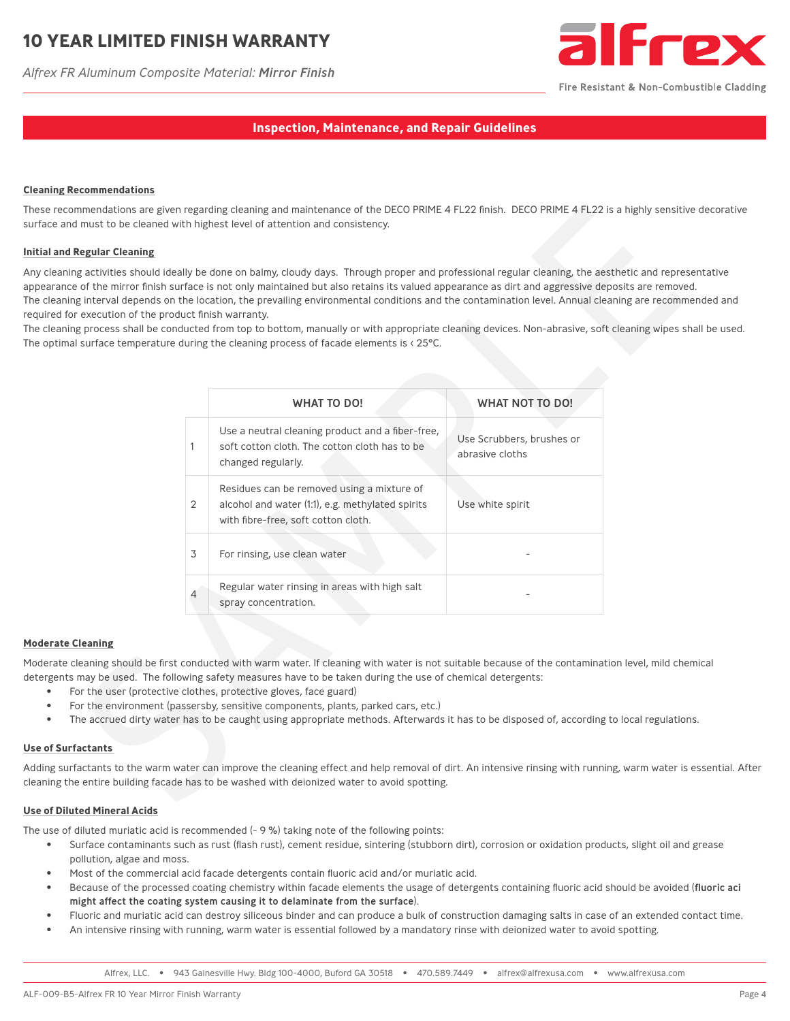# **10 YEAR LIMITED FINISH WARRANTY**

*Alfrex FR Aluminum Composite Material: Mirror Finish*



Fire Resistant & Non-Combustible Cladding

### **Inspection, Maintenance, and Repair Guidelines**

#### **Cleaning Recommendations**

These recommendations are given regarding cleaning and maintenance of the DECO PRIME 4 FL22 finish. DECO PRIME 4 FL22 is a highly sensitive decorative surface and must to be cleaned with highest level of attention and consistency.

#### **Initial and Regular Cleaning**

Any cleaning activities should ideally be done on balmy, cloudy days. Through proper and professional regular cleaning, the aesthetic and representative appearance of the mirror finish surface is not only maintained but also retains its valued appearance as dirt and aggressive deposits are removed. The cleaning interval depends on the location, the prevailing environmental conditions and the contamination level. Annual cleaning are recommended and required for execution of the product finish warranty.

The cleaning process shall be conducted from top to bottom, manually or with appropriate cleaning devices. Non-abrasive, soft cleaning wipes shall be used. The optimal surface temperature during the cleaning process of facade elements is < 25°C.

| commendations                             |              |                                                                                                                                                                                                                                                                                                                                                                                                                                                                                                                                                                                                                                                                     |                                              |  |
|-------------------------------------------|--------------|---------------------------------------------------------------------------------------------------------------------------------------------------------------------------------------------------------------------------------------------------------------------------------------------------------------------------------------------------------------------------------------------------------------------------------------------------------------------------------------------------------------------------------------------------------------------------------------------------------------------------------------------------------------------|----------------------------------------------|--|
|                                           |              | imendations are given regarding cleaning and maintenance of the DECO PRIME 4 FL22 finish. DECO PRIME 4 FL22 is a highly sensitive de<br>must to be cleaned with highest level of attention and consistency.                                                                                                                                                                                                                                                                                                                                                                                                                                                         |                                              |  |
| egular Cleaning                           |              |                                                                                                                                                                                                                                                                                                                                                                                                                                                                                                                                                                                                                                                                     |                                              |  |
| execution of the product finish warranty. |              | activities should ideally be done on balmy, cloudy days. Through proper and professional regular cleaning, the aesthetic and represent<br>of the mirror finish surface is not only maintained but also retains its valued appearance as dirt and aggressive deposits are removed.<br>interval depends on the location, the prevailing environmental conditions and the contamination level. Annual cleaning are recommend<br>process shall be conducted from top to bottom, manually or with appropriate cleaning devices. Non-abrasive, soft cleaning wipes shall<br>surface temperature during the cleaning process of facade elements is $\langle 25^{\circ}$ C. |                                              |  |
|                                           |              | <b>WHAT TO DO!</b>                                                                                                                                                                                                                                                                                                                                                                                                                                                                                                                                                                                                                                                  | <b>WHAT NOT TO DO!</b>                       |  |
|                                           | $\mathbf{1}$ | Use a neutral cleaning product and a fiber-free,<br>soft cotton cloth. The cotton cloth has to be<br>changed regularly.                                                                                                                                                                                                                                                                                                                                                                                                                                                                                                                                             | Use Scrubbers, brushes or<br>abrasive cloths |  |
|                                           | 2            | Residues can be removed using a mixture of<br>alcohol and water (1:1), e.g. methylated spirits<br>with fibre-free, soft cotton cloth.                                                                                                                                                                                                                                                                                                                                                                                                                                                                                                                               | Use white spirit                             |  |
|                                           | 3            | For rinsing, use clean water                                                                                                                                                                                                                                                                                                                                                                                                                                                                                                                                                                                                                                        |                                              |  |
|                                           | 4            | Regular water rinsing in areas with high salt<br>spray concentration.                                                                                                                                                                                                                                                                                                                                                                                                                                                                                                                                                                                               |                                              |  |
| eaning                                    |              |                                                                                                                                                                                                                                                                                                                                                                                                                                                                                                                                                                                                                                                                     |                                              |  |
|                                           |              | eaning should be first conducted with warm water. If cleaning with water is not suitable because of the contamination level, mild chemica<br>nay be used. The following safety measures have to be taken during the use of chemical detergents:<br>r the user (protective clothes, protective gloves, face guard)<br>r the environment (passersby, sensitive components, plants, parked cars, etc.)<br>e accrued dirty water has to be caught using appropriate methods. Afterwards it has to be disposed of, according to local regulations.                                                                                                                       |                                              |  |
| <b>ctants</b>                             |              |                                                                                                                                                                                                                                                                                                                                                                                                                                                                                                                                                                                                                                                                     |                                              |  |
|                                           |              | ictants to the warm water can improve the cleaning effect and help removal of dirt. An intensive rinsing with running, warm water is ess<br>entire building facade has to be washed with deionized water to avoid spotting.                                                                                                                                                                                                                                                                                                                                                                                                                                         |                                              |  |
|                                           |              |                                                                                                                                                                                                                                                                                                                                                                                                                                                                                                                                                                                                                                                                     |                                              |  |

#### **Moderate Cleaning**

Moderate cleaning should be first conducted with warm water. If cleaning with water is not suitable because of the contamination level, mild chemical detergents may be used. The following safety measures have to be taken during the use of chemical detergents:

- For the user (protective clothes, protective gloves, face guard)
- For the environment (passersby, sensitive components, plants, parked cars, etc.)
- The accrued dirty water has to be caught using appropriate methods. Afterwards it has to be disposed of, according to local regulations.

#### **Use of Surfactants**

Adding surfactants to the warm water can improve the cleaning effect and help removal of dirt. An intensive rinsing with running, warm water is essential. After cleaning the entire building facade has to be washed with deionized water to avoid spotting.

#### **Use of Diluted Mineral Acids**

The use of diluted muriatic acid is recommended  $(-9\%)$  taking note of the following points:

- Surface contaminants such as rust (flash rust), cement residue, sintering (stubborn dirt), corrosion or oxidation products, slight oil and grease pollution, algae and moss.
- Most of the commercial acid facade detergents contain fluoric acid and/or muriatic acid.
- Because of the processed coating chemistry within facade elements the usage of detergents containing fluoric acid should be avoided (fluoric aci might affect the coating system causing it to delaminate from the surface).
- Fluoric and muriatic acid can destroy siliceous binder and can produce a bulk of construction damaging salts in case of an extended contact time.
- An intensive rinsing with running, warm water is essential followed by a mandatory rinse with deionized water to avoid spotting.